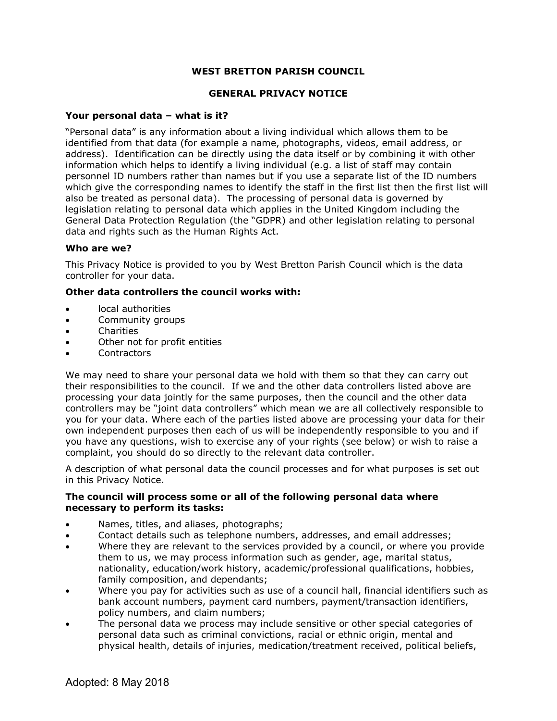# **WEST BRETTON PARISH COUNCIL**

### **GENERAL PRIVACY NOTICE**

## **Your personal data – what is it?**

"Personal data" is any information about a living individual which allows them to be identified from that data (for example a name, photographs, videos, email address, or address). Identification can be directly using the data itself or by combining it with other information which helps to identify a living individual (e.g. a list of staff may contain personnel ID numbers rather than names but if you use a separate list of the ID numbers which give the corresponding names to identify the staff in the first list then the first list will also be treated as personal data). The processing of personal data is governed by legislation relating to personal data which applies in the United Kingdom including the General Data Protection Regulation (the "GDPR) and other legislation relating to personal data and rights such as the Human Rights Act.

### **Who are we?**

This Privacy Notice is provided to you by West Bretton Parish Council which is the data controller for your data.

### **Other data controllers the council works with:**

- local authorities
- Community groups
- Charities
- Other not for profit entities
- **Contractors**

We may need to share your personal data we hold with them so that they can carry out their responsibilities to the council. If we and the other data controllers listed above are processing your data jointly for the same purposes, then the council and the other data controllers may be "joint data controllers" which mean we are all collectively responsible to you for your data. Where each of the parties listed above are processing your data for their own independent purposes then each of us will be independently responsible to you and if you have any questions, wish to exercise any of your rights (see below) or wish to raise a complaint, you should do so directly to the relevant data controller.

A description of what personal data the council processes and for what purposes is set out in this Privacy Notice.

### **The council will process some or all of the following personal data where necessary to perform its tasks:**

- Names, titles, and aliases, photographs;
- Contact details such as telephone numbers, addresses, and email addresses;
- Where they are relevant to the services provided by a council, or where you provide them to us, we may process information such as gender, age, marital status, nationality, education/work history, academic/professional qualifications, hobbies, family composition, and dependants;
- Where you pay for activities such as use of a council hall, financial identifiers such as bank account numbers, payment card numbers, payment/transaction identifiers, policy numbers, and claim numbers;
- The personal data we process may include sensitive or other special categories of personal data such as criminal convictions, racial or ethnic origin, mental and physical health, details of injuries, medication/treatment received, political beliefs,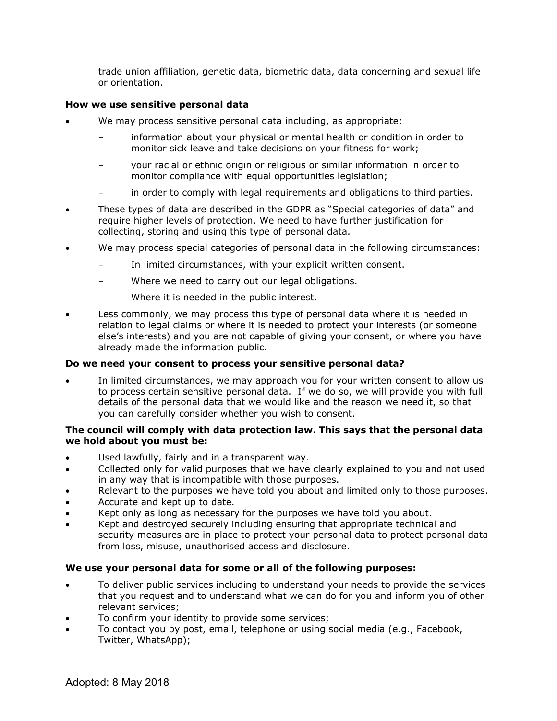trade union affiliation, genetic data, biometric data, data concerning and sexual life or orientation.

# **How we use sensitive personal data**

- We may process sensitive personal data including, as appropriate:
	- information about your physical or mental health or condition in order to monitor sick leave and take decisions on your fitness for work;
	- your racial or ethnic origin or religious or similar information in order to monitor compliance with equal opportunities legislation;
	- in order to comply with legal requirements and obligations to third parties.
- These types of data are described in the GDPR as "Special categories of data" and require higher levels of protection. We need to have further justification for collecting, storing and using this type of personal data.
- We may process special categories of personal data in the following circumstances:
	- In limited circumstances, with your explicit written consent.
	- Where we need to carry out our legal obligations.
	- Where it is needed in the public interest.
- Less commonly, we may process this type of personal data where it is needed in relation to legal claims or where it is needed to protect your interests (or someone else's interests) and you are not capable of giving your consent, or where you have already made the information public.

## **Do we need your consent to process your sensitive personal data?**

In limited circumstances, we may approach you for your written consent to allow us to process certain sensitive personal data. If we do so, we will provide you with full details of the personal data that we would like and the reason we need it, so that you can carefully consider whether you wish to consent.

## **The council will comply with data protection law. This says that the personal data we hold about you must be:**

- Used lawfully, fairly and in a transparent way.
- Collected only for valid purposes that we have clearly explained to you and not used in any way that is incompatible with those purposes.
- Relevant to the purposes we have told you about and limited only to those purposes.
- Accurate and kept up to date.
- Kept only as long as necessary for the purposes we have told you about.
- Kept and destroyed securely including ensuring that appropriate technical and security measures are in place to protect your personal data to protect personal data from loss, misuse, unauthorised access and disclosure.

## **We use your personal data for some or all of the following purposes:**

- To deliver public services including to understand your needs to provide the services that you request and to understand what we can do for you and inform you of other relevant services;
- To confirm your identity to provide some services;
- To contact you by post, email, telephone or using social media (e.g., Facebook, Twitter, WhatsApp);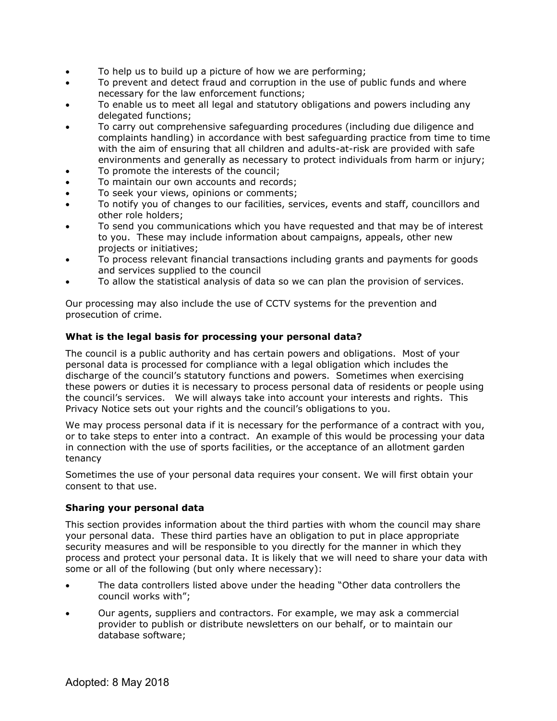- To help us to build up a picture of how we are performing;
- To prevent and detect fraud and corruption in the use of public funds and where necessary for the law enforcement functions;
- To enable us to meet all legal and statutory obligations and powers including any delegated functions;
- To carry out comprehensive safeguarding procedures (including due diligence and complaints handling) in accordance with best safeguarding practice from time to time with the aim of ensuring that all children and adults-at-risk are provided with safe environments and generally as necessary to protect individuals from harm or injury;
- To promote the interests of the council;
- To maintain our own accounts and records;
- To seek your views, opinions or comments;
- To notify you of changes to our facilities, services, events and staff, councillors and other role holders;
- To send you communications which you have requested and that may be of interest to you. These may include information about campaigns, appeals, other new projects or initiatives;
- To process relevant financial transactions including grants and payments for goods and services supplied to the council
- To allow the statistical analysis of data so we can plan the provision of services.

Our processing may also include the use of CCTV systems for the prevention and prosecution of crime.

### **What is the legal basis for processing your personal data?**

The council is a public authority and has certain powers and obligations. Most of your personal data is processed for compliance with a legal obligation which includes the discharge of the council's statutory functions and powers. Sometimes when exercising these powers or duties it is necessary to process personal data of residents or people using the council's services. We will always take into account your interests and rights. This Privacy Notice sets out your rights and the council's obligations to you.

We may process personal data if it is necessary for the performance of a contract with you, or to take steps to enter into a contract. An example of this would be processing your data in connection with the use of sports facilities, or the acceptance of an allotment garden tenancy

Sometimes the use of your personal data requires your consent. We will first obtain your consent to that use.

## **Sharing your personal data**

This section provides information about the third parties with whom the council may share your personal data. These third parties have an obligation to put in place appropriate security measures and will be responsible to you directly for the manner in which they process and protect your personal data. It is likely that we will need to share your data with some or all of the following (but only where necessary):

- The data controllers listed above under the heading "Other data controllers the council works with";
- Our agents, suppliers and contractors. For example, we may ask a commercial provider to publish or distribute newsletters on our behalf, or to maintain our database software;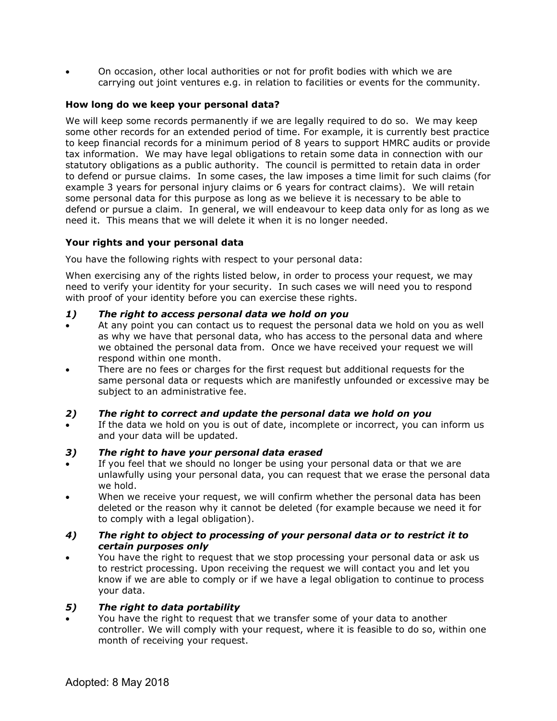• On occasion, other local authorities or not for profit bodies with which we are carrying out joint ventures e.g. in relation to facilities or events for the community.

# **How long do we keep your personal data?**

We will keep some records permanently if we are legally required to do so. We may keep some other records for an extended period of time. For example, it is currently best practice to keep financial records for a minimum period of 8 years to support HMRC audits or provide tax information. We may have legal obligations to retain some data in connection with our statutory obligations as a public authority. The council is permitted to retain data in order to defend or pursue claims. In some cases, the law imposes a time limit for such claims (for example 3 years for personal injury claims or 6 years for contract claims). We will retain some personal data for this purpose as long as we believe it is necessary to be able to defend or pursue a claim. In general, we will endeavour to keep data only for as long as we need it. This means that we will delete it when it is no longer needed.

# **Your rights and your personal data**

You have the following rights with respect to your personal data:

When exercising any of the rights listed below, in order to process your request, we may need to verify your identity for your security. In such cases we will need you to respond with proof of your identity before you can exercise these rights.

## *1) The right to access personal data we hold on you*

- At any point you can contact us to request the personal data we hold on you as well as why we have that personal data, who has access to the personal data and where we obtained the personal data from. Once we have received your request we will respond within one month.
- There are no fees or charges for the first request but additional requests for the same personal data or requests which are manifestly unfounded or excessive may be subject to an administrative fee.

# *2) The right to correct and update the personal data we hold on you*

If the data we hold on you is out of date, incomplete or incorrect, you can inform us and your data will be updated.

## *3) The right to have your personal data erased*

- If you feel that we should no longer be using your personal data or that we are unlawfully using your personal data, you can request that we erase the personal data we hold.
- When we receive your request, we will confirm whether the personal data has been deleted or the reason why it cannot be deleted (for example because we need it for to comply with a legal obligation).

## *4) The right to object to processing of your personal data or to restrict it to certain purposes only*

• You have the right to request that we stop processing your personal data or ask us to restrict processing. Upon receiving the request we will contact you and let you know if we are able to comply or if we have a legal obligation to continue to process your data.

# *5) The right to data portability*

• You have the right to request that we transfer some of your data to another controller. We will comply with your request, where it is feasible to do so, within one month of receiving your request.